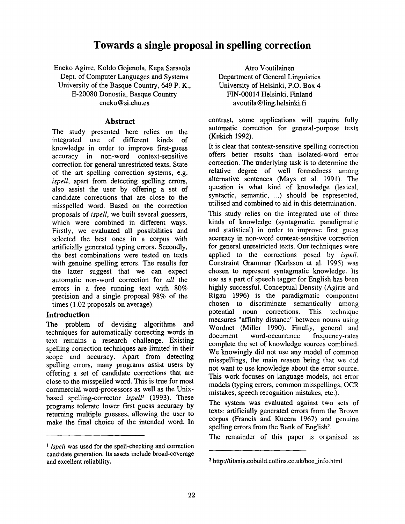# **Towards a single proposal in spelling correction**

Eneko Agirre, Koldo Gojenola, Kepa Sarasola Dept. of Computer Languages and Systems University of the Basque Country, 649 P. K., E-20080 Donostia, Basque Country eneko@si.ehu.es

### **Abstract**

The study presented here relies on the integrated use of different kinds of knowledge in order to improve first-guess accuracy in non-word context-sensitive correction for general unrestricted texts. State of the art spelling correction systems, e.g. *ispell,* apart from detecting spelling errors, also assist the user by offering a set of candidate corrections that are close to the misspelled word. Based on the correction proposals of *ispell,* we built several guessers, which were combined in different ways. Firstly, we evaluated all possibilities and selected the best ones in a corpus with artificially generated typing errors. Secondly, the best combinations were tested on texts with genuine spelling errors. The results for the latter suggest that we can expect automatic non-word correction for *all* the errors in a free running text with 80% precision and a single proposal 98% of the times (1.02 proposals on average).

# **Introduction**

The problem of devising algorithms and techniques for automatically correcting words in text remains a research challenge. Existing spelling correction techniques are limited in their scope and accuracy. Apart from detecting spelling errors, many programs assist users by offering a set of candidate corrections that are close to the misspelled word. This is true for most commercial word-processors as well as the Unixbased spelling-corrector *ispell<sup>1</sup>* (1993). These programs tolerate lower first guess accuracy by returning multiple guesses, allowing the user to make the final choice of the intended word. In

Atro Voutilainen Department of General Linguistics University of Helsinki, P.O. Box 4 FIN-00014 Helsinki, Finland avoutila@ling.helsinki.fi

contrast, some applications will require fully automatic correction for general-purpose texts (Kukich 1992).

It is clear that context-sensitive spelling correction offers better results than isolated-word error correction. The underlying task is to determine the relative degree of well formedness among alternative sentences (Mays et al. 1991). The question is what kind of knowledge (lexical, syntactic, semantic, ...) should be represented, utilised and combined to aid in this determination.

This study relies on the integrated use of three kinds of knowledge (syntagmatic, paradigmatic and statistical) in order to improve first guess accuracy in non-word context-sensitive correction for general unrestricted texts. Our techniques were applied to the corrections posed by *ispell.*  Constraint Grammar (Karlsson et al. 1995) was chosen to represent syntagmatic knowledge. Its use as a part of speech tagger for English has been highly successful. Conceptual Density (Agirre and Rigau 1996) is the paradigmatic component chosen to discriminate semantically among potential noun corrections. This technique measures "affinity distance" between nouns using Wordnet (Miller 1990). Finally, general and document word-occurrence frequency-rates complete the set of knowledge sources combined. We knowingly did not use any model of common misspellings, the main reason being that we did not want to use knowledge about the error source. This work focuses on language models, not error models (typing errors, common misspellings, OCR mistakes, speech recognition mistakes, etc.).

The system was evaluated against two sets of texts: artificially generated errors from the Brown corpus (Francis and Kucera 1967) and genuine spelling errors from the Bank of English<sup>2</sup>.

The remainder of this paper is organised as

*i lspell* was used for the spell-checking and correction candidate generation. Its assets include broad-coverage and excellent reliability.

<sup>2</sup> http://titania.cobuild.collins.co.uk/boe\_info.html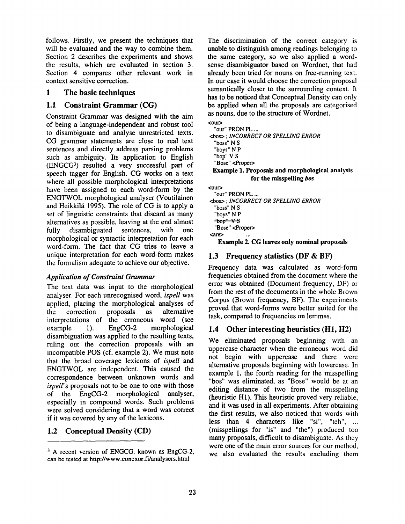follows. Firstly, we present the techniques that will be evaluated and the way to combine them. Section 2 describes the experiments and shows the results, which are evaluated in section 3. Section 4 compares other relevant work in context sensitive correction.

## 1 The basic techniques

# **1.1 Constraint Grammar (CG)**

Constraint Grammar was designed with the aim of being a language-independent and robust tool to disambiguate and analyse unrestricted texts. CG grammar statements are close to real text sentences and directly address parsing problems such as ambiguity. Its application to English (ENGCG<sup>3</sup>) resulted a very successful part of speech tagger for English. CG works on a text where all possible morphological interpretations have been assigned to each word-form by the ENGTWOL morphological analyser (Voutilainen and Heikkilä 1995). The role of CG is to apply a set of linguistic constraints that discard as many alternatives as possible, leaving at the end almost fully disambiguated sentences, with one morphological or syntactic interpretation for each word-form. The fact that CG tries to leave a unique interpretation for each word-form makes the formalism adequate to achieve our objective.

# *Application of Constraint Grammar*

The text data was input to the morphological analyser. For each unrecognised word, *ispell* was applied, placing the morphological analyses of the correction proposals as alternative interpretations of the erroneous word (see<br>example 1). EngCG-2 morphological example 1). EngCG-2 morphological disambiguation was applied to the resulting texts, ruling out the correction proposals with an incompatible POS (cf. example 2). We must note that the broad coverage lexicons of *ispell* and ENGTWOL are independent. This caused the correspondence between unknown words and *ispell's* proposals not to be one to one with those<br>of the EngCG-2 morphological analyser, of the EngCG-2 morphological analyser, especially in compound words. Such problems were solved considering that a word was correct if it was covered by any of the lexicons.

# 1.2 Conceptual Density (CD)

The discrimination of the correct category is unable to distinguish among readings belonging to the same category, so we also applied a wordsense disambiguator based on Wordnet, that had already been tried for nouns on free-running text. In our case it would choose the correction proposal semantically closer to the surrounding context. It has to be noticed that Conceptual Density can only be applied when all the proposals are categorised as nouns, due to the structure of Wordnet.

<our>

```
"our" PRON PL ... 
<bos> ; INCORRECT OR SPELLING ERROR 
  "boss" N S 
  "boys" N P 
  "bop" V S 
  "Bose" <Proper> 
 Example 1. Proposals and morphological analysis 
               for the misspelling bos 
<our> 
  "our" PRON PL ... 
<bos> ; INCORRECT OR SPELLING ERROR 
  "boss" N S
```
"boys" N P  $\frac{m}{2}$ bop $\frac{m}{2}$   $\sqrt{S}$ "Bose" <Proper> <are> ...

**Example** 2. CG leaves only **nominal proposals** 

# 1.3 Frequency statistics (DF & BF)

Frequency data was calculated as word-form frequencies obtained from the document where the error was obtained (Document frequency, DF) or from the rest of the documents in the whole Brown Corpus (Brown frequency, BF). The experiments proved that word-forms were better suited for the task, compared to frequencies on lemmas.

# 1.4 Other interesting heuristics (HI, H2)

We eliminated proposals beginning with an uppercase character when the erroneous word did not begin with uppercase and there were alternative proposals beginning with lowercase. In example 1, the fourth reading for the misspelling "bos" was eliminated, as "Bose" would be at an editing distance of two from the misspelling (heuristic HI). This heuristic proved very reliable, and it was used in all experiments. After obtaining the first results, we also noticed that words with less than 4 characters like "si", "teh", ... (misspellings for "is" and "the") produced too many proposals, difficult to disambiguate. As they were one of the main error sources for our method, we also evaluated the results excluding them

<sup>&</sup>lt;sup>3</sup> A recent version of ENGCG, known as EngCG-2, can be tested at http://www.conexor.fi/analysers.html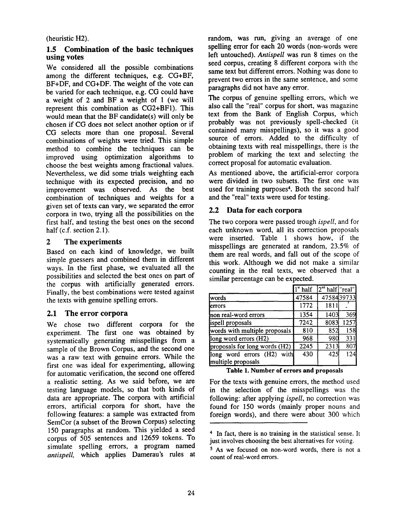## (heuristic H2).

### **1.5 Combination of the basic techniques using votes**

We considered all the possible combinations among the different techniques, e.g. CG+BF, BF+DF, and CG+DF. The weight of the vote can be varied for each technique, e.g. CG could have a weight of 2 and BF a weight of 1 (we will represent this combination as CG2+BF1). This would mean that the BF candidate(s) will only be chosen if CG does not select another option or if CG selects more than one proposal. Several combinations of weights were tried. This simple method to combine the techniques can be improved using optimization algorithms to choose the best weights among fractional values. Nevertheless, we did some trials weighting each technique with its expected precision, and no improvement was observed. As the best combination of techniques and weights for a given set of texts can vary, we separated the error corpora in two, trying all the possibilities on the first half, and testing the best ones on the second half (c.f. section 2.1).

# **2 The experiments**

Based on each kind of knowledge, we built simple guessers and combined them in different ways. In the first phase, we evaluated all the possibilities and selected the best ones on part of the corpus with artificially generated errors. Finally, the best combinations were tested against the texts with genuine spelling errors.

# 2.1 The error **corpora**

We chose two different corpora for the experiment. The first one was obtained by systematically generating misspellings from a sample of the Brown Corpus, and the second one was a raw text with genuine errors. While the first one was ideal for experimenting, allowing for automatic verification, the second one offered a realistic setting. As we said before, we are testing language models, so that both kinds of data are appropriate. The corpora with artificial errors, artificial corpora for short, have the following features: a sample was extracted from SemCor (a subset of the Brown Corpus) selecting 150 paragraphs at random. This yielded a seed corpus of 505 sentences and 12659 tokens. To simulate spelling errors, a program named *antispell,* which applies Damerau's rules at random, was run, giving an average of one spelling error for each 20 words (non-words were left untouched). *Antispell* was run 8 times on the seed corpus, creating 8 different corpora with the same text but different errors. Nothing was done to prevent two errors in the same sentence, and some paragraphs did not have any error.

The corpus of genuine spelling errors, which we also call the "real" corpus for short, was magazine text from the Bank of English Corpus, which probably was not previously spell-checked (it contained many misspellings), so it was a good source of errors. Added to the difficulty of obtaining texts with real misspellings, there is the problem of marking the text and selecting the correct proposal for automatic evaluation.

As mentioned above, the artificial-error corpora were divided in two subsets. The first one was used for training purposes<sup>4</sup>. Both the second half and the "real" texts were used for testing.

# **2.2 Data for each corpora**

The two corpora were passed trough *ispell,* and for each unknown word, all its correction proposals were inserted. Table 1 shows how, if the misspellings are generated at random, 23.5% of them are real words, and fall out of the scope of this work. Although we did not make a similar counting in the real texts, we observed that a similar percentage can be expected.

|                                                  | $1st$ half | $2^{nd}$ half   "real" |            |
|--------------------------------------------------|------------|------------------------|------------|
| lwords                                           | 47584      |                        | 4758439733 |
| lerrors                                          | 1772       | 1811                   |            |
| non real-word errors                             | 1354       | 1403                   | 369        |
| ispell proposals                                 | 7242       | 8083                   | 1257       |
| words with multiple proposals                    | 810        | 852                    | 158        |
| long word errors (H2)                            | 968        | 980                    | 331        |
| proposals for long words (H2)                    | 2245       | 2313                   | 807        |
| long word errors (H2) with<br>multiple proposals | 430        | 425                    | 124        |

**Table 1. Number of errors and proposals** 

For the texts with genuine errors, the method used in the selection of the misspellings was the following: after applying *ispell,* no correction was found for 150 words (mainly proper nouns and foreign words), and there were about 300 which

<sup>4</sup> In fact, there is no training in the statistical sense. It just involves choosing the best alternatives for voting.

<sup>5</sup> As we focused on non-word words, there is not a count of real-word errors.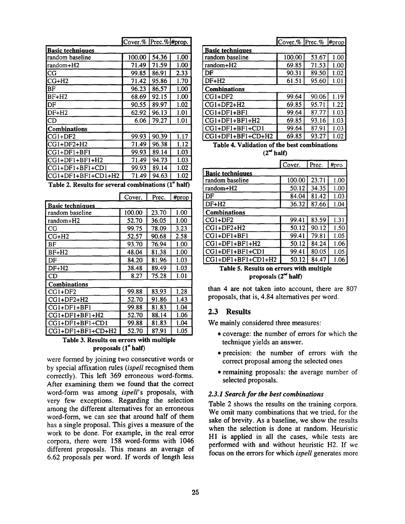|                         | Cover.% Prec.% #prop. |       |      |  |
|-------------------------|-----------------------|-------|------|--|
| <b>Basic techniques</b> |                       |       |      |  |
| random baseline         | 100.00                | 54.36 | 1.00 |  |
| random+H2               | 71.49                 | 71.59 | 1.00 |  |
| СG                      | 99.85                 | 86.91 | 2.33 |  |
| $CG+H2$                 | 71.42                 | 95.86 | 1.70 |  |
| BF                      | 96.23                 | 86.57 | 1.00 |  |
| IBF+H2                  | 68.69                 | 92.15 | 1.00 |  |
| IDF                     | 90.55                 | 89.97 | 1.02 |  |
| DF+H2                   | 62.92                 | 96.13 | 1.01 |  |
| ICD                     | 6.06                  | 79.27 | 1.01 |  |
| <b>ICombinations</b>    |                       |       |      |  |
| $ CG1+DF2 $             | 99.93                 | 90.39 | 1.17 |  |
| lCG1+DF2+H2             | 71.49                 | 96.38 | 1.12 |  |
| CG1+DF1+BF1             | 99.93                 | 89.14 | 1.03 |  |
| CG1+DF1+BF1+H2          | 71.49                 | 94.73 | 1.03 |  |
| CG1+DF1+BF1+CD1         | 99.93                 | 89.14 | 1.02 |  |
| lCG1+DF1+BF1+CD1+H2     | 71.49                 | 94.63 | 1.02 |  |

**Table 2. Results for several combinations (I"**  half)

|                         | Cover. | Prec. | #prop |  |
|-------------------------|--------|-------|-------|--|
| <b>Basic techniques</b> |        |       |       |  |
| random baseline         | 100.00 | 23.70 | 1.00  |  |
| random+H2               | 52.70  | 36.05 | 1.00  |  |
| CG                      | 99.75  | 78.09 | 3.23  |  |
| CG+H2                   | 52.57  | 90.68 | 2.58  |  |
| BF                      | 93.70  | 76.94 | 1.00  |  |
| $BF+H2$                 | 48.04  | 81.38 | 1.00  |  |
| DF                      | 84.20  | 81.96 | 1.03  |  |
| $DF+H2$                 | 38.48  | 89.49 | 1.03  |  |
| CD                      | 8.27   | 75.28 | 1.01  |  |
| <b>Combinations</b>     |        |       |       |  |
| CG1+DF2                 | 99.88  | 83.93 | 1.28  |  |
| $CG1+DF2+H2$            | 52.70  | 91.86 | 1.43  |  |
| $CG1+DF1+BF1$           | 99.88  | 81.83 | 1.04  |  |
| $CGI+DFI+BFI+H2$        | 52.70  | 88.14 | 1.06  |  |
| CG1+DF1+BF1+CD1         | 99.88  | 81.83 | 1.04  |  |
| $CG1+DF1+BF1+CD+H2$     | 52.70  | 87.91 | 1.05  |  |

#### **Table** 3. Results **on errors** with **multiple proposals** (1" half)

were formed by joining two consecutive words or by special affixation rules *(ispell* recognised them correctly). This left 369 erroneous word-forms. After examining them we found that the correct word-form was among *ispell's* proposals, with very few exceptions. Regarding the selection among the different alternatives for an erroneous word-form, we can see that around half of them has a single proposal. This gives a measure of the work to be done. For example, in the real error corpora, there were 158 word-forms with 1046 different proposals. This means an average of 6.62 proposals per word. If words of length less

|                         | $\text{Cover.} % \left[ \text{Prec.} % \right]$ #prop |       |      |
|-------------------------|-------------------------------------------------------|-------|------|
| <b>Basic techniques</b> |                                                       |       |      |
| random baseline         | 100.00                                                | 53.67 | 1.00 |
| random+H2               | 69.85                                                 | 71.53 | 1.00 |
| DF                      | 90.31                                                 | 89.50 | 1.02 |
| $DF+H2$                 | 61.51                                                 | 95.60 | 1.01 |
| <b>Combinations</b>     |                                                       |       |      |
| $CG1+DF2$               | 99.64                                                 | 90.06 | 1.19 |
| $CG1+DF2+H2$            | 69.85                                                 | 95.71 | 1.22 |
| CG1+DF1+BF1             | 99.64                                                 | 87.77 | 1.03 |
| $CGI+DFI+BFI+H2$        | 69.85                                                 | 93.16 | 1.03 |
| CG1+DF1+BF1+CD1         | 99.64                                                 | 87.91 | 1.03 |
| CG1+DF1+BF1+CD+H2       | 69.85                                                 | 93.27 | 1.02 |

**Table 4. Validation of the best combinations**   $(2<sup>nd</sup> half)$ 

| ٠ | ---<br>-- |  |
|---|-----------|--|
|   |           |  |

 $\overline{15}$ 

 $T_{\mu}$ 

|                         | I COVET. | riec. | ₩рго |  |
|-------------------------|----------|-------|------|--|
| <b>Basic techniques</b> |          |       |      |  |
| random baseline         | 100.00   | 23.71 | 1.00 |  |
| random+H2               | 50.12    | 34.35 | 1.00 |  |
| DF                      | 84.04    | 81.42 | 1.03 |  |
| $DF+H2$                 | 36.32    | 87.66 | 1.04 |  |
| <b>Combinations</b>     |          |       |      |  |
| $CG1+DF2$               | 99.41    | 83.59 | 1.31 |  |
| $CG1+DF2+H2$            | 50.12    | 90.12 | 1.50 |  |
| $CG1+DF1+BF1$           | 99.41    | 79.81 | 1.05 |  |
| $CG1+DF1+BF1+H2$        | 50.12    | 84.24 | 1.06 |  |
| $CG1+DF1+BF1+CD1$       | 99.41    | 80.05 | 1.05 |  |
| $CG1+DF1+BF1+CD1+H2$    | 50.12    | 84.47 | 1.06 |  |

**Table 5. Results on errors with multiple proposals (2 "d** half)

than 4 are not taken into account, there are 807 proposals, that is, 4.84 alternatives per word.

#### 2.3 Results

We mainly considered three measures:

- coverage: the number of errors for which the technique yields an answer.
- precision: the number of errors with the correct proposal among the selected ones
- remaining proposals: the average number of selected proposals.

### *2.3.1 Search for the best combinations*

Table 2 shows the results on the training corpora. We omit many combinations that we tried, for the sake of brevity. As a baseline, we show the results when the selection is done at random. Heuristic H1 is applied in all the cases, while tests are performed with and without heuristic H2. If we focus on the errors for which *ispell* generates more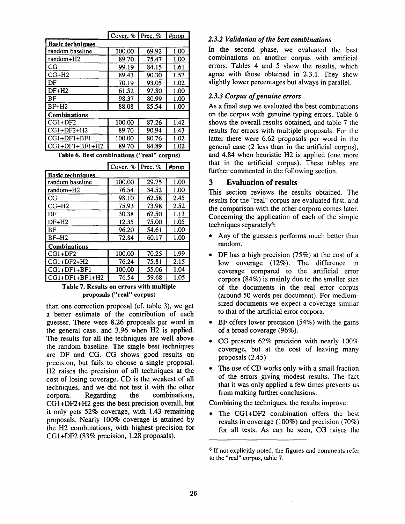|                         | Cover. $\%$   Prec. $\%$ |       | #prop. |  |  |
|-------------------------|--------------------------|-------|--------|--|--|
| <b>Basic techniques</b> |                          |       |        |  |  |
| random baseline         | 100.00                   | 69.92 | 1.00   |  |  |
| random+H2               | 89.70                    | 75.47 | 1.00   |  |  |
| CG                      | 99.19                    | 84.15 | 1.61   |  |  |
| $CG+H2$                 | 89.43                    | 90.30 | 1.57   |  |  |
| DF                      | 70.19                    | 93.05 | 1.02   |  |  |
| DF+H2                   | 61.52                    | 97.80 | 1.00   |  |  |
| BF                      | 98.37                    | 80.99 | 1.00   |  |  |
| $BF+H2$                 | 88.08                    | 85.54 | 1.00   |  |  |
| <b>Combinations</b>     |                          |       |        |  |  |
| $CG1+DF2$               | 100.00                   | 87.26 | 1.42   |  |  |
| $CG1+DF2+H2$            | 89.70                    | 90.94 | 1.43   |  |  |
| $CG1+DF1+BF1$           | 100.00                   | 80.76 | 1.02   |  |  |
| $CG1+DF1+BF1+H2$        | 89.70                    | 84.89 | 1.02   |  |  |

**Table 6. Best combinations "real" corpus)** 

|                         | Cover. $%$ Prec. $%$ |       | #prop |  |  |
|-------------------------|----------------------|-------|-------|--|--|
| <b>Basic techniques</b> |                      |       |       |  |  |
| random baseline         | 100.00               | 29.75 | 1.00  |  |  |
| random+H2               | 76.54                | 34.52 | 1.00  |  |  |
| CG                      | 98.10                | 62.58 | 2.45  |  |  |
| $CG+H2$                 | 75.93                | 73.98 | 2.52  |  |  |
| DF                      | 30.38                | 62.50 | 1.13  |  |  |
| $DF+H2$                 | 12.35                | 75.00 | 1.05  |  |  |
| ΒF                      | 96.20                | 54.61 | 1.00  |  |  |
| $BF+H2$                 | 72.84                | 60.17 | 1.00  |  |  |
| <b>Combinations</b>     |                      |       |       |  |  |
| $CG1+DF2$               | 100.00               | 70.25 | 1.99  |  |  |
| $CG1+DF2+H2$            | 76.24                | 75.81 | 2.15  |  |  |
| CG1+DF1+BF1             | 100.00               | 55.06 | 1.04  |  |  |
| $CG1+DF1+BF1+H2$        | 76.54                | 59.68 | 1.05  |  |  |

### **Table 7. Results on errors with multiple proposals ("real" corpus)**

than one correction proposal (cf. table 3), we get a better estimate of the contribution of each guesser. There were 8.26 proposals per word in the general case, and 3.96 when H2 is applied. The results for all the techniques are well above the random baseline. The single best techniques are DF and CG. CG shows good results on precision, but fails to choose a single proposal. H2 raises the precision of all techniques at the cost of losing coverage. CD is the weakest of all techniques, and we did not test it with the other corpora. Regarding the combinations, CGI+DF2+H2 gets the best precision overall, but it only gets 52% coverage, with 1.43 remaining proposals. Nearly 100% coverage is attained by the H2 combinations, with highest precision for CGI+DF2 (83% precision, 1.28 proposals).

### *2.3.2 Validation of the best combinations*

In the second phase, we evaluated the best combinations on another corpus with artificial errors. Tables 4 and 5 show the results, which agree with those obtained in 2.3.1. They show slightly lower percentages but always in parallel.

### *2.3.3 Corpus of genuine errors*

As a final step we evaluated the best combinations on the corpus with genuine typing errors. Table 6 shows the overall results obtained, and table 7 the results for errors with multiple proposals. For the latter there were 6.62 proposals per word in the general case (2 less than in the artificial corpus), and 4.84 when heuristic H2 is applied (one more that in the artificial corpus). These tables are further commented in the following section.

### **3 Evaluation of results**

This section reviews the results obtained. The results for the "real" corpus are evaluated first, and the comparison with the other corpora comes later. Concerning the application of each of the simple techniques separately6:

- Any of the guessers performs much better than random.
- DF has a high precision (75%) at the cost of a low coverage (12%). The difference in coverage compared to the artificial error corpora (84%) is mainly due to the smaller size of the documents in the real error corpus (around 50 words per document). For mediumsized documents we expect a coverage similar to that of the artificial error corpora.
- BF offers lower precision (54%) with the gains of a broad coverage (96%).
- CG presents 62% precision with nearly 100% coverage, but at the cost of leaving many proposals (2.45)
- The use of CD works only with a small fraction of the errors giving modest results. The fact that it was only applied a few times prevents us from making further conclusions.

Combining the techniques, the results improve:

• The CGI+DF2 combination offers the best results in coverage (100%) and precision (70%) for all tests. As can be seen, CG raises the

<sup>6</sup> If not explicitly noted, the figures and comments refer to the "real" corpus, table 7.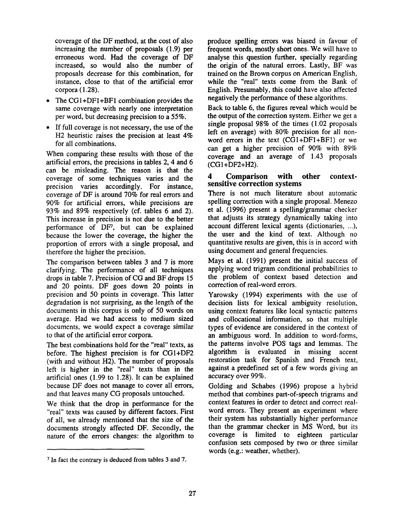coverage of the DF method, at the cost of also increasing the number of proposals (1.9) per erroneous word. Had the coverage of DF increased, so would also the number of proposals decrease for this combination, for instance, close to that of the artificial error corpora (1.28).

- The CG1+DF1+BF1 combination provides the same coverage with nearly one interpretation per word, but decreasing precision to a 55%.
- If full coverage is not necessary, the use of the H2 heuristic raises the precision at least 4% for all combinations.

When comparing these results with those of the artificial errors, the precisions in tables 2, 4 and 6 can be misleading. The reason is that the coverage of some techniques varies and the precision varies accordingly. For instance, coverage of DF is around 70% for real errors and 90% for artificial errors, while precisions are 93% and 89% respectively (cf. tables 6 and 2). This increase in precision is not due to the better performance of  $DF<sup>7</sup>$ , but can be explained because the lower the coverage, the higher the proportion of errors with a single proposal, and therefore the higher the precision.

The comparison between tables 3 and 7 is more clarifying. The performance of all techniques drops in table 7. Precision of CG and BF drops 15 and 20 points. DF goes down 20 points in precision and 50 points in coverage. This latter degradation is not surprising, as the length of the documents in this corpus is only of 50 words on average. Had we had access to medium sized documents, we would expect a coverage similar to that of the artificial error corpora.

The best combinations hold for the "real" texts, as before. The highest precision is for CGI+DF2 (with and without H2). The number of proposals left is higher in the "real" texts than in the artificial ones (1.99 to 1.28). It can be explained because DF does not manage to cover all errors, and that leaves many CG proposals untouched.

We think that the drop in performance for the "real" texts was caused by different factors. First of all, we already mentioned that the size of the documents strongly affected DF. Secondly, the nature of the errors changes: the algorithm to produce spelling errors was biased in favour of frequent words, mostly short ones. We will have to analyse this question further, specially regarding the origin of the natural errors. Lastly, BF was trained on the Brown corpus on American English, while the "real" texts come from the Bank of English. Presumably, this could have also affected negatively the performance of these algorithms.

Back to table 6, the figures reveal which would be the output of the correction system. Either we get a single proposal 98% of the times (1.02 proposals left on average) with 80% precision for all nonword errors in the text (CGI+DFI+BF1) or we can get a higher precision of 90% with 89% coverage and an average of 1.43 proposals (CGI+DF2+H2).

### 4 Comparison with other contextsensitive correction systems

There is not much literature about automatic spelling correction with a single proposal. Menezo et al. (1996) present a spelling/grammar checker that adjusts its strategy dynamically taking into account different lexical agents (dictionaries, ...), the user and the kind of text. Although no quantitative results are given, this is in accord with using document and general frequencies.

Mays et al. (1991) present the initial success of applying word trigram conditional probabilities to the problem of context based detection and correction of real-word errors.

Yarowsky (1994) experiments with the use of decision lists for lexical ambiguity resolution, using context features like local syntactic patterns and collocational information, so that multiple types of evidence are considered in the context of an ambiguous word. In addition to word-forms, the patterns involve POS tags and lemmas. The algorithm is evaluated in missing accent restoration task for Spanish and French text, against a predefined set of a few words giving an accuracy over 99%.

Golding and Schabes (1996) propose a hybrid method that combines part-of-speech trigrams and context features in order to detect and correct realword errors. They present an experiment where their system has substantially higher performance than the grammar checker in MS Word, but its coverage is limited to eighteen particular confusion sets composed by two or three similar words (e.g.: weather, whether).

<sup>7</sup> In fact the contrary is deduced from tables 3 and 7.